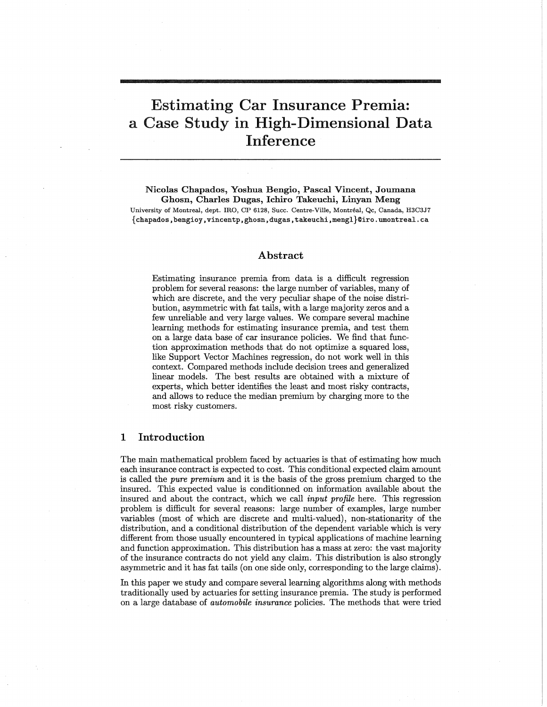# Estimating Car Insurance Premia: a Case Study in High-Dimensional Data Inference

Nicolas Chapados, Yoshua Bengio, Pascal Vincent, Joumana Ghosn, Charles Dugas, Ichiro Takeuchi, Linyan Meng University of Montreal, dept. IRQ, CP 6128, Succ. Centre-Ville, Montreal, Qc, Canada, H3C3J7 {chapados, bengioy, vincentp, ghosn, dugas, takeuchi, mengl}@iro.umontreal.ca

## Abstract

Estimating insurance premia from data is a difficult regression problem for several reasons: the large number of variables, many of which are discrete, and the very peculiar shape of the noise distribution, asymmetric with fat tails, with a large majority zeros and a few unreliable and very large values. We compare several machine learning methods for estimating insurance premia, and test them on a large data base of car insurance policies. We find that function approximation methods that do not optimize a squared loss, like Support Vector Machines regression, do not work well in this context. Compared methods include decision trees and generalized linear models. The best results are obtained with a mixture of experts, which better identifies the least and most risky contracts, and allows to reduce the median premium by charging more to the most risky customers.

## **1 Introduction**

The main mathematical problem faced by actuaries is that of estimating how much each insurance contract is expected to cost. This conditional expected claim amount is called the *pure premium* and it is the basis of the gross premium charged to the insured. This expected value is conditionned on information available about the insured and about the contract, which we call *input profile* here. This regression problem is difficult for several reasons: large number of examples, large number variables (most of which are discrete and multi-valued), non-stationarity of the distribution, and a conditional distribution of the dependent variable which is very different from those usually encountered in typical applications of machine learning and function approximation. This distribution has a mass at zero: the vast majority of the insurance contracts do not yield any claim. This distribution is also strongly asymmetric and it has fat tails (on one side only, corresponding to the large claims).

In this paper we study and compare several learning algorithms along with methods traditionally used by actuaries for setting insurance premia. The study is performed on a large database of *automobile insurance* policies. The methods that were tried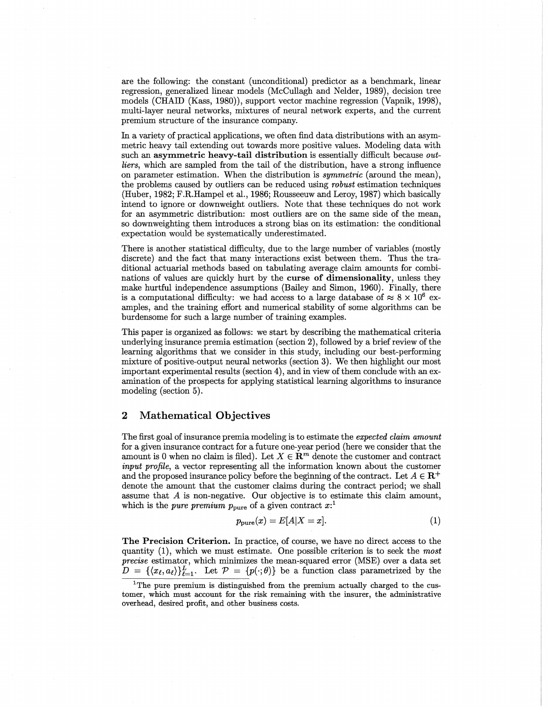are the following: the constant (unconditional) predictor as a benchmark, linear regression, generalized linear models (McCullagh and NeIder, 1989), decision tree models (CHAID (Kass, 1980)), support vector machine regression (Vapnik, 1998), multi-layer neural networks, mixtures of neural network experts, and the current premium structure of the insurance company.

In a variety of practical applications, we often find data distributions with an asymmetric heavy tail extending out towards more positive values. Modeling data with such an asymmetric heavy-tail distribution is essentially difficult because *outliers,* which are sampled from the tail of the distribution, have a strong influence on parameter estimation. When the distribution is *symmetric* (around the mean), the problems caused by outliers can be reduced using *robust* estimation techniques (Huber, 1982; F.R.Hampel et al., 1986; Rousseeuw and Leroy, 1987) which basically intend to ignore or downweight outliers. Note that these techniques do not work for an asymmetric distribution: most outliers are on the same side of the mean, so downweighting them introduces a strong bias on its estimation: the conditional expectation would be systematically underestimated.

There is another statistical difficulty, due to the large number of variables (mostly discrete) and the fact that many interactions exist between them. Thus the traditional actuarial methods based on tabulating average claim amounts for combinations of values are quickly hurt by the curse of dimensionality, unless they make hurtful independence assumptions (Bailey and Simon, 1960). Finally, there is a computational difficulty: we had access to a large database of  $\approx 8 \times 10^6$  examples, and the training effort and numerical stability of some algorithms can be burdensome for such a large number of training examples.

This paper is organized as follows: we start by describing the mathematical criteria underlying insurance premia estimation (section 2), followed by a brief review of the learning algorithms that we consider in this study, including our best-performing mixture of positive-output neural networks (section 3). We then highlight our most important experimental results (section 4), and in view of them conclude with an examination of the prospects for applying statistical learning algorithms to insurance modeling (section 5).

## 2 Mathematical Objectives

The first goal of insurance premia modeling is to estimate the *expected claim amount* for a given insurance contract for a future one-year period (here we consider that the amount is 0 when no claim is filed). Let  $X \in \mathbb{R}^m$  denote the customer and contract *input profile,* a vector representing all the information known about the customer and the proposed insurance policy before the beginning of the contract. Let  $A \in \mathbb{R}^+$ denote the amount that the customer claims during the contract period; we shall assume that A is non-negative. Our objective is to estimate this claim amount, which is the *pure* premium  $p_{\text{pure}}$  of a given contract  $x$ <sup>1</sup>

$$
p_{\text{pure}}(x) = E[A|X=x].\tag{1}
$$

The Precision Criterion. In practice, of course, we have no direct access to the quantity (1), which we must estimate. One possible criterion is to seek the *most precise* estimator, which minimizes the mean-squared error (MSE) over a data set  $D = \{\langle x_\ell, a_\ell \rangle\}_{\ell=1}^L$ . Let  $\mathcal{P} = \{p(\cdot;\theta)\}\$ be a function class parametrized by the

<sup>&</sup>lt;sup>1</sup>The pure premium is distinguished from the premium actually charged to the customer, which must account for the risk remaining with the insurer, the administrative overhead, desired profit, and other business costs.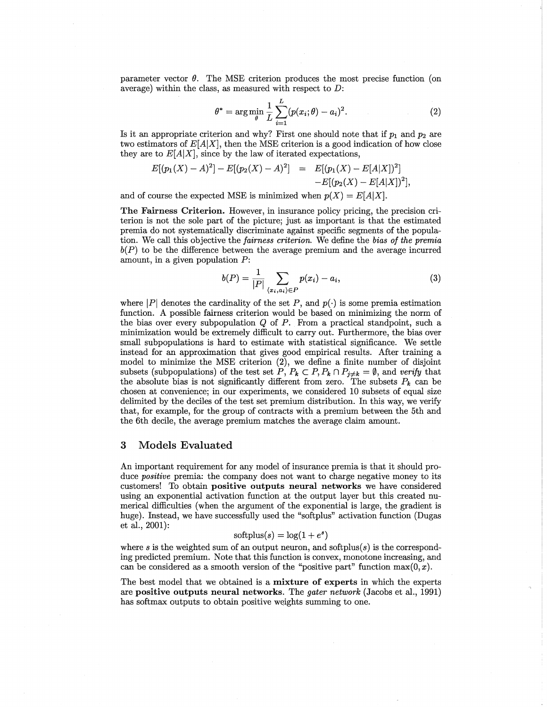parameter vector  $\theta$ . The MSE criterion produces the most precise function (on average) within the class, as measured with respect to *D:*

$$
\theta^* = \arg\min_{\theta} \frac{1}{L} \sum_{i=1}^{L} (p(x_i; \theta) - a_i)^2.
$$
 (2)

Is it an appropriate criterion and why? First one should note that if  $p_1$  and  $p_2$  are two estimators of  $E[A|X]$ , then the MSE criterion is a good indication of how close they are to  $E[A|X]$ , since by the law of iterated expectations,

$$
E[(p_1(X) - A)^2] - E[(p_2(X) - A)^2] = E[(p_1(X) - E[A|X])^2] - E[(p_2(X) - E[A|X])^2],
$$

and of course the expected MSE is minimized when  $p(X) = E[A|X]$ .

The Fairness Criterion. However, in insurance policy pricing, the precision criterion is not the sole part of the picture; just as important is that the estimated premia do not systematically discriminate against specific segments of the population. We call this objective the *fairness criterion.* We define the *bias of the premia*  $b(P)$  to be the difference between the average premium and the average incurred amount, in a given population *P:*

$$
b(P) = \frac{1}{|P|} \sum_{\langle x_i, a_i \rangle \in P} p(x_i) - a_i,\tag{3}
$$

where  $|P|$  denotes the cardinality of the set P, and  $p(\cdot)$  is some premia estimation function. A possible fairness criterion would be based on minimizing the norm of the bias over every subpopulation  $Q$  of  $P$ . From a practical standpoint, such a minimization would be extremely difficult to carry out. Furthermore, the bias over small subpopulations is hard to estimate with statistical significance. We settle instead for an approximation that gives good empirical results. After training a model to minimize the MSE criterion  $(2)$ , we define a finite number of disjoint subsets (subpopulations) of the test set  $P, P_k \subset P, P_k \cap P_{j \neq k} = \emptyset$ , and *verify* that the absolute bias is not significantly different from zero. The subsets  $P_k$  can be chosen at convenience; in our experiments, we considered 10 subsets of equal-size delimited by the deciles of the test set premium distribution. In this way, we verify that, for example, for the group of contracts with a premium between the 5th and the 6th decile, the average premium matches the average claim amount.

#### 3 Models Evaluated

An important requirement for any model of insurance premia is that it should produce *positive* premia: the company does not want to charge negative money to its customers! To obtain positive outputs neural networks we have considered using an exponential activation function at the output layer but this created numerical difficulties (when the argument of the exponential is large, the gradient is huge). Instead, we have successfully used the "softplus" activation function (Dugas et al., 2001):

## $\text{softplus}(s) = \log(1 + e^s)$

where  $s$  is the weighted sum of an output neuron, and softplus $(s)$  is the corresponding predicted premium. Note that this function is convex, monotone increasing, and can be considered as a smooth version of the "positive part" function  $\max(0, x)$ .

The best model that we obtained is a mixture of experts in which the experts are positive outputs neural networks. The *gater network* (Jacobs et al., 1991) has softmax outputs to obtain positive weights summing to one.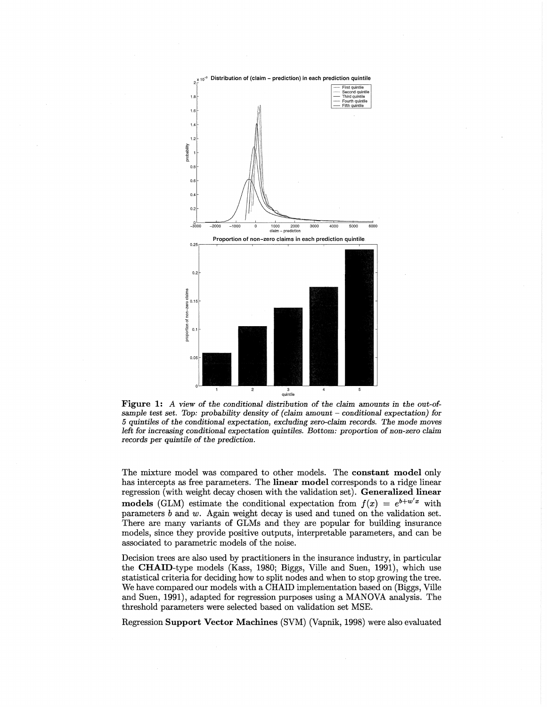

Figure 1: *A view of the conditional distribution of the claim* amounts *in the out-ofsample test set. Top: probability density of (claim* amount - *conditional expectation) for 5 quintiles* of *the conditional expectation, excluding zero-claim records. The mode moves left for increasing conditional expectation quintiles. Bottom: proportion* of *non-zero claim records per quintile* of *the prediction.*

The mixture model was compared to other models. The constant model only has intercepts as free parameters. The linear model corresponds to a ridge linear regression (with weight decay chosen with the validation set). Generalized linear models (GLM) estimate the conditional expectation from  $f(x) = e^{b+w'x}$  with parameters *b* and *w.* Again weight decay is used and tuned on the validation set. There are many variants of GLMs and they are popular for building insurance models, since they provide positive outputs, interpretable parameters, and can be associated to parametric models of the noise.

Decision trees are also used by practitioners in the insurance industry, in particular the CHAID-type models (Kass, 1980; Biggs, Ville and Suen, 1991), which use statistical criteria for deciding how to split nodes and when to stop growing the tree. We have compared our models with a CHAID implementation based on (Biggs, Ville and Suen, 1991), adapted for regression purposes using a MANOVA analysis. The threshold parameters were selected based on validation set MSE.

Regression Support Vector Machines (SVM) (Vapnik, 1998) were also evaluated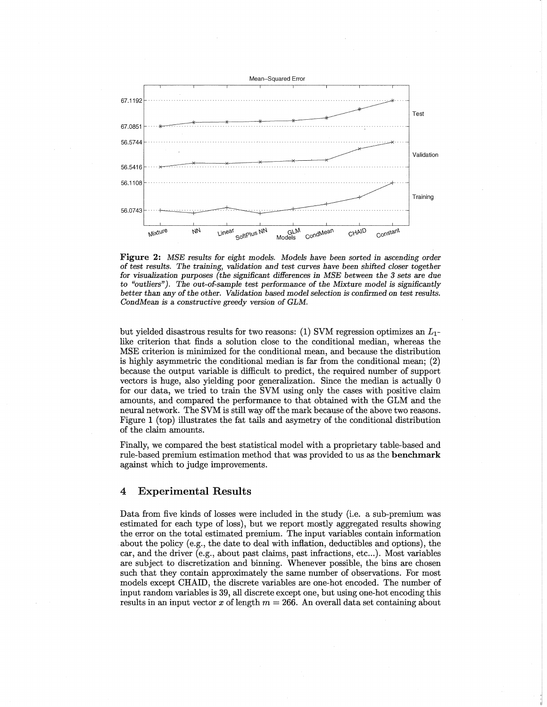

Figure 2: *MSE results for eight models. Models have been sorted in ascending order* of *test results. The training, validation* and *test curves have been shifted closer together for visualization purposes (the significant differences in MSE between the* 3 *sets* are *due* to *"outliers"). The out-of-sample test performance* of *the Mixture model is significantly better than* any of*the other. Validation based model selection is confirmed* on *test results. CondMean* is a *constructive* greedy *version* of *GLM.*

but yielded disastrous results for two reasons: (1) SVM regression optimizes an *L1* like criterion that finds a solution close to the conditional median, whereas the MSE criterion is minimized for the conditional mean, and because the distribution is highly asymmetric the conditional median is far from the conditional mean; (2) because the output variable is difficult to predict, the required number of support vectors is huge, also yielding poor generalization. Since the median is actually 0 for our data, we tried to train the SVM using only the cases with positive claim amounts, and compared the performance to that obtained with the GLM and the neural network. The SVM is still way offthe mark because of the above two reasons. Figure 1 (top) illustrates the fat tails and asymetry of the conditional distribution of the claim amounts. .

Finally, we compared the best statistical model with a proprietary table-based and rule-based premium estimation method that was provided to us as the benchmark against which to judge improvements.

## 4 Experimental Results

Data from five kinds of losses were included in the study (Le. a sub-premium was estimated for each type of loss), but we report mostly aggregated results showing the error on the total estimated premium. The input variables contain information about the policy (e.g., the date to deal with inflation, deductibles and options), the car, and the driver (e.g., about past claims, past infractions, etc...). Most variables are subject to discretization and binning. Whenever possible, the bins are chosen such that they contain approximately the same number of observations. For most models except CHAID, the discrete variables are one-hot encoded. The number of input random variables is 39, all discrete except one, but using one-hot encoding this results in an input vector  $x$  of length  $m = 266$ . An overall data set containing about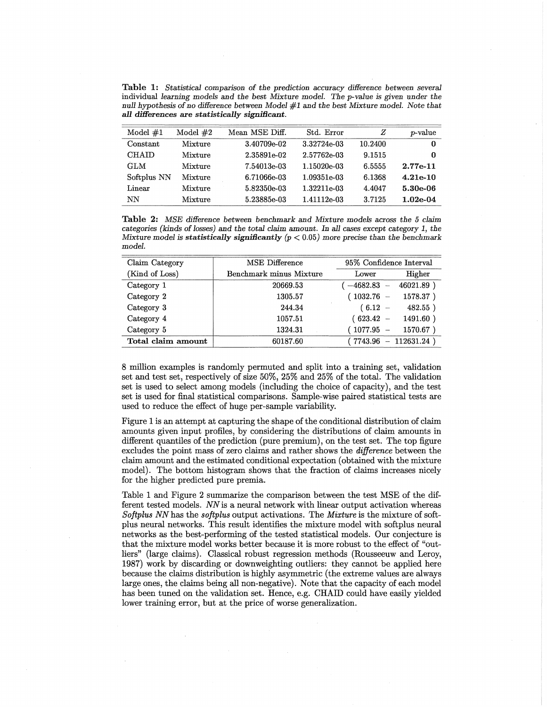Table 1: *Statistical comparison of the prediction* accuracy *difference between several* individual *learning models* and *the best Mixture model. The p-value* is *given under the null hypothesis oino difference between Model* #1 and *the best Mixture model. Note that all differences* are *statistically* significant.

| Model $#1$   | Model $#2$     | Mean MSE Diff. | Std. Error     | Ζ       | <i>v</i> -value |
|--------------|----------------|----------------|----------------|---------|-----------------|
| Constant     | Mixture        | 3.40709e-02    | 3.32724e-03    | 10.2400 | 0               |
| <b>CHAID</b> | Mixture        | 2.35891e-02    | 2.57762e-03    | 9.1515  | 0               |
| GLM          | <b>Mixture</b> | 7.54013e-03    | 1.15020e-03    | 6.5555  | $2.77e-11$      |
| Softplus NN  | Mixture        | 6.71066e-03    | $1.09351 - 03$ | 6.1368  | $4.21e-10$      |
| Linear       | Mixture        | $5.82350e-03$  | 1.32211e-03    | 4.4047  | $5.30e-06$      |
| NΝ           | Mixture        | 5.23885e-03    | 1.41112e-03    | 3.7125  | $1.02e-04$      |

Table 2: *MSE difference between benchmark* and *Mixture models* across *the* 5 *claim categories (kinds of losses)* and *the total claim* amount. *In all* cases *except* category 1, *the IvIixture model* is *statistically significantly (p* < 0.05) *more precise than the benchmark model.*

| Claim Category     | <b>MSE</b> Difference   | 95% Confidence Interval |                |  |
|--------------------|-------------------------|-------------------------|----------------|--|
| (Kind of Loss)     | Benchmark minus Mixture | Lower                   | Higher         |  |
| Category 1         | 20669.53                | $-4682.83$              | 46021.89)      |  |
| Category 2         | 1305.57                 | $1032.76 -$             | 1578.37)       |  |
| Category 3         | 244.34                  | $(6.12 -$               | 482.55)        |  |
| Category 4         | 1057.51                 | $(623.42 -$             | 1491.60)       |  |
| Category 5         | 1324.31                 | $1077.95 -$             | 1570.67)       |  |
| Total claim amount | 60187.60                | 7743.96                 | $-112631.24$ ) |  |

8 million examples is randomly permuted and split into a training set, validation set and test set, respectively of size 50%, 25% and 25% of the total. The validation set is used to select among models (including the choice of capacity), and the test set is used for final statistical comparisons. Sample-wise paired statistical tests are used to reduce the effect of huge per-sample variability.

Figure 1 is an attempt at capturing the shape of the conditional distribution of claim amounts given input profiles, by considering the distributions of claim amounts in different quantiles of the prediction (pure premium), on the test set. The top figure excludes the point mass of zero claims and rather shows the *difference* between the claim amount and the estimated conditional expectation (obtained with the mixture model). The bottom histogram shows that the fraction of claims increases nicely for the higher predicted pure premia.

Table 1 and Figure 2 summarize the comparison between the test MSE of the different tested models. *NN*is a neural network with linear output activation whereas *Softplus NNhas* the *softplus* output activations. The *Mixture* is the mixture of softplus neural networks. This result identifies the mixture model with softplus neural networks as the best-performing of the tested statistical models. Our conjecture is that the mixture model works better because it is more robust to the effect of "outliers" (large claims). Classical robust regression methods (Rousseeuw and Leroy, 1987) work by discarding or downweighting outliers: they cannot be applied here because the claims distribution is highly asymmetric (the extreme values are always large ones, the claims being all non-negative). Note that the capacity of each model has been tuned on the validation set. Hence, e.g. CHAID could have easily yielded lower training error, but at the price of worse generalization.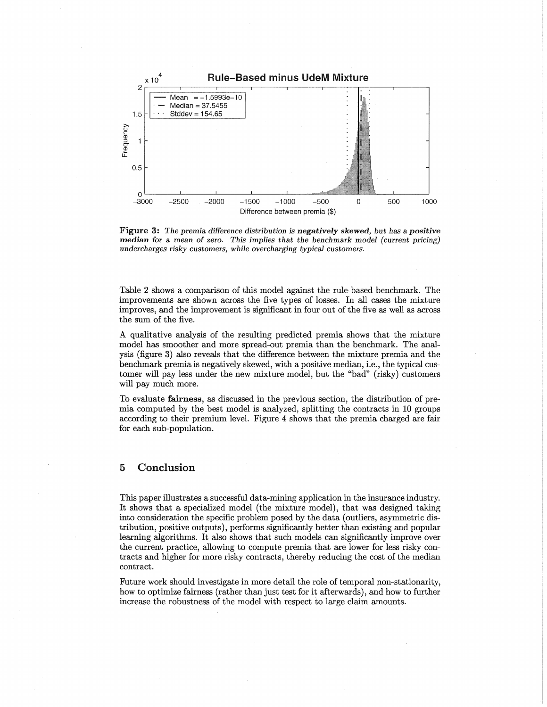

Figure 3: *The premia difference distribution* is *negatively skewed, but has* a *positive* m~dian *for* a mean of *zero. This implies that the benchmark model (current pricing) undercharges risky customers, while overcharging typical customers.*

Table 2 shows a comparison of this model against the rule-based benchmark. The improvements are shown across the five types of losses. In all cases the mixture improves, and the improvement is significant in four out of the five as well as across the sum of the five.

A qualitative analysis of the resulting predicted premia shows that the mixture model has smoother and more spread-out premia than the benchmark. The analysis (figure 3) also reveals that the difference between the mixture premia and the benchmark premia is negatively skewed, with a positive median, i.e., the typical customer will pay less under the new mixture model, but the "bad" (risky) customers will pay much more.

To evaluate fairness, as discussed in the previous section, the distribution of premia computed by the best model is analyzed, splitting the contracts in 10 groups according to their premium level. Figure 4 shows that the premia charged are fair for each sub-population.

# 5 Conclusion

This paper illustrates a successful data-mining application in the insurance industry. It shows that a specialized model (the mixture model), that was designed taking into consideration the specific problem posed by the data (outliers, asymmetric distribution, positive outputs), performs significantly better than existing and popular learning algorithms. It also shows that such models can significantly improve over the current practice, allowing to compute premia that are lower for less risky contracts and higher for more risky contracts, thereby reducing the cost of the median contract.

Future work should investigate in more detail the role of temporal non-stationarity, how to optimize fairness (rather than just test for it afterwards), and how to further increase the robustness of the model with respect to large claim amounts.